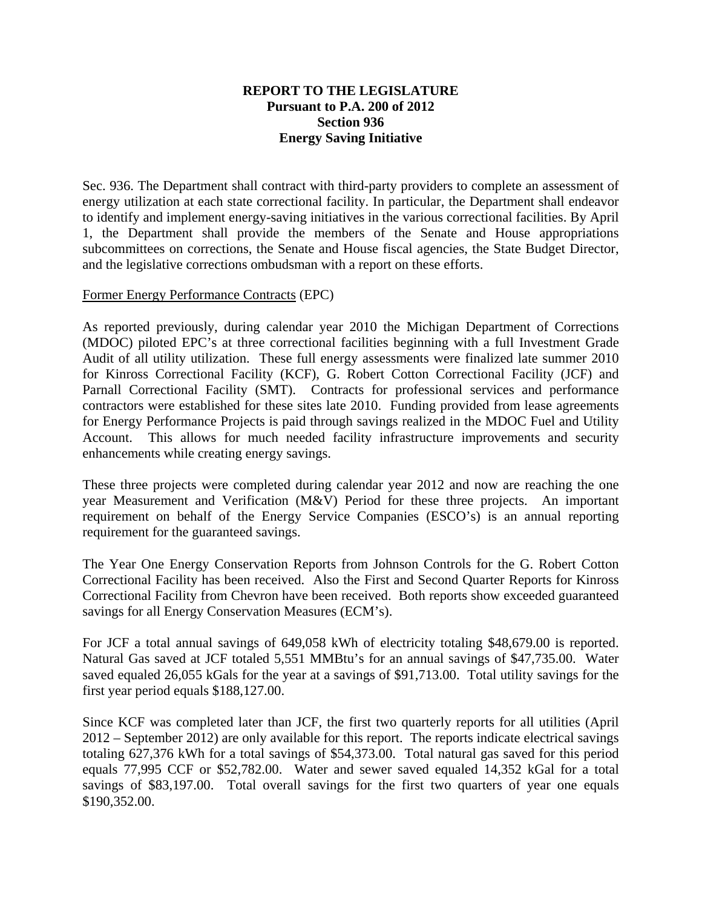## **REPORT TO THE LEGISLATURE Pursuant to P.A. 200 of 2012 Section 936 Energy Saving Initiative**

Sec. 936. The Department shall contract with third-party providers to complete an assessment of energy utilization at each state correctional facility. In particular, the Department shall endeavor to identify and implement energy-saving initiatives in the various correctional facilities. By April 1, the Department shall provide the members of the Senate and House appropriations subcommittees on corrections, the Senate and House fiscal agencies, the State Budget Director, and the legislative corrections ombudsman with a report on these efforts.

## Former Energy Performance Contracts (EPC)

As reported previously, during calendar year 2010 the Michigan Department of Corrections (MDOC) piloted EPC's at three correctional facilities beginning with a full Investment Grade Audit of all utility utilization. These full energy assessments were finalized late summer 2010 for Kinross Correctional Facility (KCF), G. Robert Cotton Correctional Facility (JCF) and Parnall Correctional Facility (SMT). Contracts for professional services and performance contractors were established for these sites late 2010. Funding provided from lease agreements for Energy Performance Projects is paid through savings realized in the MDOC Fuel and Utility Account. This allows for much needed facility infrastructure improvements and security enhancements while creating energy savings.

These three projects were completed during calendar year 2012 and now are reaching the one year Measurement and Verification (M&V) Period for these three projects. An important requirement on behalf of the Energy Service Companies (ESCO's) is an annual reporting requirement for the guaranteed savings.

The Year One Energy Conservation Reports from Johnson Controls for the G. Robert Cotton Correctional Facility has been received. Also the First and Second Quarter Reports for Kinross Correctional Facility from Chevron have been received. Both reports show exceeded guaranteed savings for all Energy Conservation Measures (ECM's).

For JCF a total annual savings of 649,058 kWh of electricity totaling \$48,679.00 is reported. Natural Gas saved at JCF totaled 5,551 MMBtu's for an annual savings of \$47,735.00. Water saved equaled 26,055 kGals for the year at a savings of \$91,713.00. Total utility savings for the first year period equals \$188,127.00.

Since KCF was completed later than JCF, the first two quarterly reports for all utilities (April 2012 – September 2012) are only available for this report. The reports indicate electrical savings totaling 627,376 kWh for a total savings of \$54,373.00. Total natural gas saved for this period equals 77,995 CCF or \$52,782.00. Water and sewer saved equaled 14,352 kGal for a total savings of \$83,197.00. Total overall savings for the first two quarters of year one equals \$190,352.00.